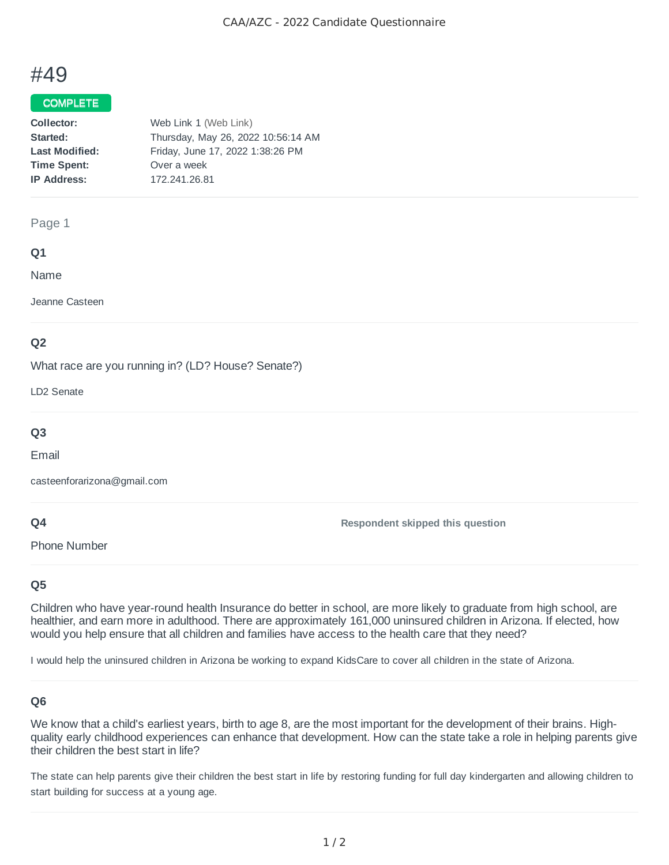# #49

## **COMPLETE**

| Collector:            | Web Link 1 (Web Link)              |
|-----------------------|------------------------------------|
| Started:              | Thursday, May 26, 2022 10:56:14 AM |
| <b>Last Modified:</b> | Friday, June 17, 2022 1:38:26 PM   |
| <b>Time Spent:</b>    | Over a week                        |
| <b>IP Address:</b>    | 172.241.26.81                      |
|                       |                                    |

#### Page 1

### **Q1**

Name

Jeanne Casteen

## **Q2**

What race are you running in? (LD? House? Senate?)

LD2 Senate

## **Q3**

Email

casteenforarizona@gmail.com

### **Q4**

Phone Number

**Respondent skipped this question**

## **Q5**

Children who have year-round health Insurance do better in school, are more likely to graduate from high school, are healthier, and earn more in adulthood. There are approximately 161,000 uninsured children in Arizona. If elected, how would you help ensure that all children and families have access to the health care that they need?

I would help the uninsured children in Arizona be working to expand KidsCare to cover all children in the state of Arizona.

## **Q6**

We know that a child's earliest years, birth to age 8, are the most important for the development of their brains. Highquality early childhood experiences can enhance that development. How can the state take a role in helping parents give their children the best start in life?

The state can help parents give their children the best start in life by restoring funding for full day kindergarten and allowing children to start building for success at a young age.